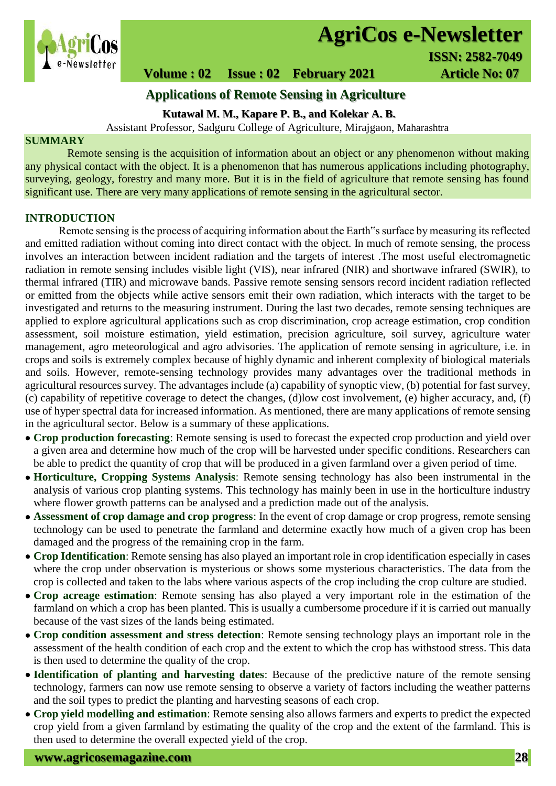

# **AgriCos e-Newsletter**

# **Volume : 02 Issue : 02 February 2021 4rticle No: 07**

### **Applications of Remote Sensing in Agriculture**

**Kutawal M. M., Kapare P. B., and Kolekar A. B.**

Assistant Professor, Sadguru College of Agriculture, Mirajgaon, Maharashtra

#### **SUMMARY**

 Remote sensing is the acquisition of information about an object or any phenomenon without making any physical contact with the object. It is a phenomenon that has numerous applications including photography, surveying, geology, forestry and many more. But it is in the field of agriculture that remote sensing has found significant use. There are very many applications of remote sensing in the agricultural sector.

### **INTRODUCTION**

Remote sensing is the process of acquiring information about the Earth"s surface by measuring its reflected and emitted radiation without coming into direct contact with the object. In much of remote sensing, the process involves an interaction between incident radiation and the targets of interest .The most useful electromagnetic radiation in remote sensing includes visible light (VIS), near infrared (NIR) and shortwave infrared (SWIR), to thermal infrared (TIR) and microwave bands. Passive remote sensing sensors record incident radiation reflected or emitted from the objects while active sensors emit their own radiation, which interacts with the target to be investigated and returns to the measuring instrument. During the last two decades, remote sensing techniques are applied to explore agricultural applications such as crop discrimination, crop acreage estimation, crop condition assessment, soil moisture estimation, yield estimation, precision agriculture, soil survey, agriculture water management, agro meteorological and agro advisories. The application of remote sensing in agriculture, i.e. in crops and soils is extremely complex because of highly dynamic and inherent complexity of biological materials and soils. However, remote-sensing technology provides many advantages over the traditional methods in agricultural resources survey. The advantages include (a) capability of synoptic view, (b) potential for fast survey, (c) capability of repetitive coverage to detect the changes, (d)low cost involvement, (e) higher accuracy, and, (f) use of hyper spectral data for increased information. As mentioned, there are many applications of remote sensing in the agricultural sector. Below is a summary of these applications.

- **Crop production forecasting**: Remote sensing is used to forecast the expected crop production and yield over a given area and determine how much of the crop will be harvested under specific conditions. Researchers can be able to predict the quantity of crop that will be produced in a given farmland over a given period of time.
- **Horticulture, Cropping Systems Analysis**: Remote sensing technology has also been instrumental in the analysis of various crop planting systems. This technology has mainly been in use in the horticulture industry where flower growth patterns can be analysed and a prediction made out of the analysis.
- **Assessment of crop damage and crop progress**: In the event of crop damage or crop progress, remote sensing technology can be used to penetrate the farmland and determine exactly how much of a given crop has been damaged and the progress of the remaining crop in the farm.
- **Crop Identification**: Remote sensing has also played an important role in crop identification especially in cases where the crop under observation is mysterious or shows some mysterious characteristics. The data from the crop is collected and taken to the labs where various aspects of the crop including the crop culture are studied.
- **Crop acreage estimation**: Remote sensing has also played a very important role in the estimation of the farmland on which a crop has been planted. This is usually a cumbersome procedure if it is carried out manually because of the vast sizes of the lands being estimated.
- **Crop condition assessment and stress detection**: Remote sensing technology plays an important role in the assessment of the health condition of each crop and the extent to which the crop has withstood stress. This data is then used to determine the quality of the crop.
- **Identification of planting and harvesting dates**: Because of the predictive nature of the remote sensing technology, farmers can now use remote sensing to observe a variety of factors including the weather patterns and the soil types to predict the planting and harvesting seasons of each crop.
- **Crop yield modelling and estimation**: Remote sensing also allows farmers and experts to predict the expected crop yield from a given farmland by estimating the quality of the crop and the extent of the farmland. This is then used to determine the overall expected yield of the crop.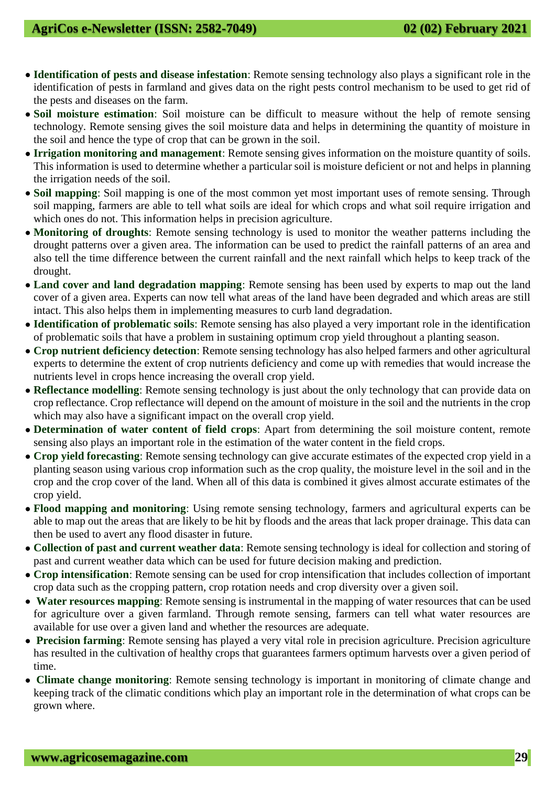- **Identification of pests and disease infestation**: Remote sensing technology also plays a significant role in the identification of pests in farmland and gives data on the right pests control mechanism to be used to get rid of the pests and diseases on the farm.
- **Soil moisture estimation**: Soil moisture can be difficult to measure without the help of remote sensing technology. Remote sensing gives the soil moisture data and helps in determining the quantity of moisture in the soil and hence the type of crop that can be grown in the soil.
- **Irrigation monitoring and management**: Remote sensing gives information on the moisture quantity of soils. This information is used to determine whether a particular soil is moisture deficient or not and helps in planning the irrigation needs of the soil.
- **Soil mapping**: Soil mapping is one of the most common yet most important uses of remote sensing. Through soil mapping, farmers are able to tell what soils are ideal for which crops and what soil require irrigation and which ones do not. This information helps in precision agriculture.
- **Monitoring of droughts**: Remote sensing technology is used to monitor the weather patterns including the drought patterns over a given area. The information can be used to predict the rainfall patterns of an area and also tell the time difference between the current rainfall and the next rainfall which helps to keep track of the drought.
- **Land cover and land degradation mapping**: Remote sensing has been used by experts to map out the land cover of a given area. Experts can now tell what areas of the land have been degraded and which areas are still intact. This also helps them in implementing measures to curb land degradation.
- **Identification of problematic soils**: Remote sensing has also played a very important role in the identification of problematic soils that have a problem in sustaining optimum crop yield throughout a planting season.
- **Crop nutrient deficiency detection**: Remote sensing technology has also helped farmers and other agricultural experts to determine the extent of crop nutrients deficiency and come up with remedies that would increase the nutrients level in crops hence increasing the overall crop yield.
- **Reflectance modelling**: Remote sensing technology is just about the only technology that can provide data on crop reflectance. Crop reflectance will depend on the amount of moisture in the soil and the nutrients in the crop which may also have a significant impact on the overall crop yield.
- **Determination of water content of field crops**: Apart from determining the soil moisture content, remote sensing also plays an important role in the estimation of the water content in the field crops.
- **Crop yield forecasting**: Remote sensing technology can give accurate estimates of the expected crop yield in a planting season using various crop information such as the crop quality, the moisture level in the soil and in the crop and the crop cover of the land. When all of this data is combined it gives almost accurate estimates of the crop yield.
- **Flood mapping and monitoring**: Using remote sensing technology, farmers and agricultural experts can be able to map out the areas that are likely to be hit by floods and the areas that lack proper drainage. This data can then be used to avert any flood disaster in future.
- **Collection of past and current weather data**: Remote sensing technology is ideal for collection and storing of past and current weather data which can be used for future decision making and prediction.
- **Crop intensification**: Remote sensing can be used for crop intensification that includes collection of important crop data such as the cropping pattern, crop rotation needs and crop diversity over a given soil.
- **Water resources mapping**: Remote sensing is instrumental in the mapping of water resources that can be used for agriculture over a given farmland. Through remote sensing, farmers can tell what water resources are available for use over a given land and whether the resources are adequate.
- **Precision farming**: Remote sensing has played a very vital role in precision agriculture. Precision agriculture has resulted in the cultivation of healthy crops that guarantees farmers optimum harvests over a given period of time.
- **Climate change monitoring**: Remote sensing technology is important in monitoring of climate change and keeping track of the climatic conditions which play an important role in the determination of what crops can be grown where.